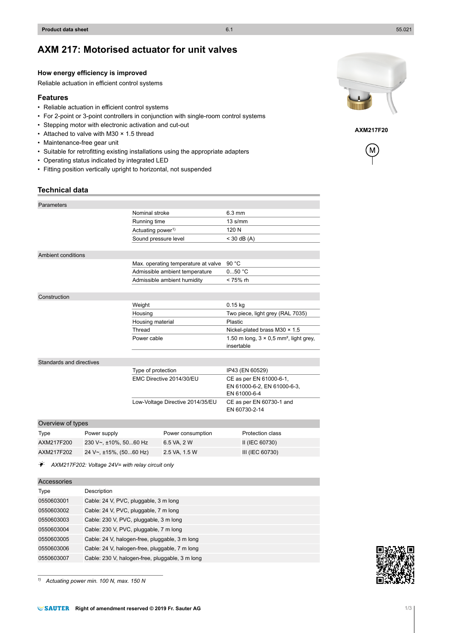*1) Actuating power min. 100 N, max. 150 N*

# **AXM 217: Motorised actuator for unit valves**

### **How energy efficiency is improved**

Reliable actuation in efficient control systems

## **Features**

- Reliable actuation in efficient control systems
- For 2-point or 3-point controllers in conjunction with single-room control systems
- Stepping motor with electronic activation and cut-out
- Attached to valve with M30 × 1.5 thread
- Maintenance-free gear unit
- Suitable for retrofitting existing installations using the appropriate adapters
- Operating status indicated by integrated LED
- Fitting position vertically upright to horizontal, not suspended

### **Technical data**

| Parameters               |                                        |                                     |                             |                                                                         |
|--------------------------|----------------------------------------|-------------------------------------|-----------------------------|-------------------------------------------------------------------------|
|                          |                                        | Nominal stroke                      |                             | $6.3 \text{ mm}$                                                        |
|                          |                                        | Running time                        |                             | $13 \text{ s/mm}$                                                       |
|                          |                                        | Actuating power <sup>1)</sup>       |                             | 120 N                                                                   |
|                          |                                        | Sound pressure level                |                             | $<$ 30 dB (A)                                                           |
|                          |                                        |                                     |                             |                                                                         |
| Ambient conditions       |                                        |                                     |                             |                                                                         |
|                          |                                        | Max. operating temperature at valve |                             | 90 °C                                                                   |
|                          |                                        | Admissible ambient temperature      |                             | 050 °C                                                                  |
|                          |                                        |                                     | Admissible ambient humidity | $< 75%$ rh                                                              |
|                          |                                        |                                     |                             |                                                                         |
| Construction             |                                        |                                     |                             |                                                                         |
|                          |                                        | Weight                              |                             | $0.15$ kg                                                               |
|                          |                                        | Housing                             |                             | Two piece, light grey (RAL 7035)                                        |
|                          |                                        | Housing material                    |                             | Plastic                                                                 |
|                          |                                        | Thread                              |                             | Nickel-plated brass M30 $\times$ 1.5                                    |
|                          |                                        | Power cable                         |                             | 1.50 m long, $3 \times 0.5$ mm <sup>2</sup> , light grey,<br>insertable |
|                          |                                        |                                     |                             |                                                                         |
| Standards and directives |                                        |                                     |                             |                                                                         |
|                          | Type of protection                     |                                     | IP43 (EN 60529)             |                                                                         |
|                          |                                        |                                     | EMC Directive 2014/30/EU    | CE as per EN 61000-6-1,<br>EN 61000-6-2, EN 61000-6-3,<br>EN 61000-6-4  |
|                          |                                        | Low-Voltage Directive 2014/35/EU    |                             | CE as per EN 60730-1 and<br>EN 60730-2-14                               |
| Overview of types        |                                        |                                     |                             |                                                                         |
| Type                     | Power supply                           |                                     | Power consumption           | Protection class                                                        |
| A YM217E200              | $230 \text{ V}_{\infty}$ +10% 50 60 Hz |                                     | $GENA$ $2 M$                | $II$ (IEC 60730)                                                        |

| lype.      | Power supply                | Power consumption | <b>Protection class</b> |
|------------|-----------------------------|-------------------|-------------------------|
| AXM217F200 | $230 V2 + 10%$ . 5060 Hz    | 6.5 VA. 2 W       | II (IEC 60730)          |
| AXM217F202 | 24 V~, $\pm$ 15%, (5060 Hz) | 2.5 VA. 1.5 W     | III (IEC 60730)         |
|            |                             |                   |                         |

A *AXM217F202: Voltage 24V= with relay circuit only*

| Description                                     |
|-------------------------------------------------|
| Cable: 24 V, PVC, pluggable, 3 m long           |
| Cable: 24 V, PVC, pluggable, 7 m long           |
| Cable: 230 V, PVC, pluggable, 3 m long          |
| Cable: 230 V, PVC, pluggable, 7 m long          |
| Cable: 24 V, halogen-free, pluggable, 3 m long  |
| Cable: 24 V, halogen-free, pluggable, 7 m long  |
| Cable: 230 V, halogen-free, pluggable, 3 m long |
|                                                 |

**EXAUTER** Right of amendment reserved © 2019 Fr. Sauter AG 10 113



**AXM217F20**

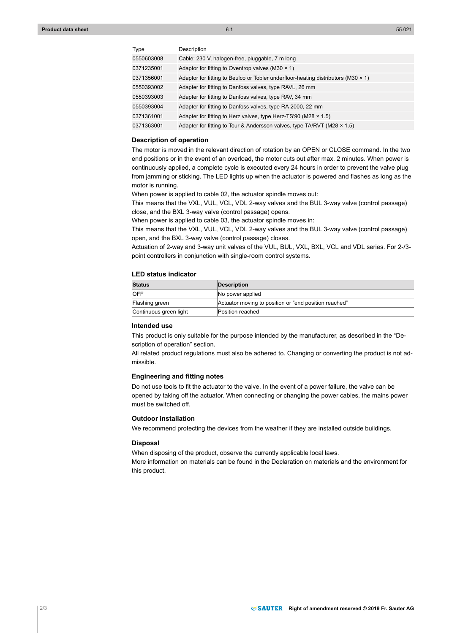| Type       | Description                                                                                |
|------------|--------------------------------------------------------------------------------------------|
| 0550603008 | Cable: 230 V, halogen-free, pluggable, 7 m long                                            |
| 0371235001 | Adaptor for fitting to Oventrop valves (M30 $\times$ 1)                                    |
| 0371356001 | Adaptor for fitting to Beulco or Tobler underfloor-heating distributors ( $M30 \times 1$ ) |
| 0550393002 | Adapter for fitting to Danfoss valves, type RAVL, 26 mm                                    |
| 0550393003 | Adapter for fitting to Danfoss valves, type RAV, 34 mm                                     |
| 0550393004 | Adapter for fitting to Danfoss valves, type RA 2000, 22 mm                                 |
| 0371361001 | Adapter for fitting to Herz valves, type Herz-TS'90 (M28 $\times$ 1.5)                     |
| 0371363001 | Adapter for fitting to Tour & Andersson valves, type TA/RVT (M28 x 1.5)                    |

#### **Description of operation**

The motor is moved in the relevant direction of rotation by an OPEN or CLOSE command. In the two end positions or in the event of an overload, the motor cuts out after max. 2 minutes. When power is continuously applied, a complete cycle is executed every 24 hours in order to prevent the valve plug from jamming or sticking. The LED lights up when the actuator is powered and flashes as long as the motor is running.

When power is applied to cable 02, the actuator spindle moves out:

This means that the VXL, VUL, VCL, VDL 2-way valves and the BUL 3-way valve (control passage) close, and the BXL 3-way valve (control passage) opens.

When power is applied to cable 03, the actuator spindle moves in:

This means that the VXL, VUL, VCL, VDL 2-way valves and the BUL 3-way valve (control passage) open, and the BXL 3-way valve (control passage) closes.

Actuation of 2-way and 3-way unit valves of the VUL, BUL, VXL, BXL, VCL and VDL series. For 2-/3 point controllers in conjunction with single-room control systems.

### **LED status indicator**

| <b>Status</b>          | <b>Description</b>                                    |
|------------------------|-------------------------------------------------------|
| OFF                    | No power applied                                      |
| Flashing green         | Actuator moving to position or "end position reached" |
| Continuous green light | Position reached                                      |

## **Intended use**

This product is only suitable for the purpose intended by the manufacturer, as described in the "Description of operation" section.

All related product regulations must also be adhered to. Changing or converting the product is not admissible.

#### **Engineering and fitting notes**

Do not use tools to fit the actuator to the valve. In the event of a power failure, the valve can be opened by taking off the actuator. When connecting or changing the power cables, the mains power must be switched off.

#### **Outdoor installation**

We recommend protecting the devices from the weather if they are installed outside buildings.

### **Disposal**

When disposing of the product, observe the currently applicable local laws. More information on materials can be found in the Declaration on materials and the environment for this product.